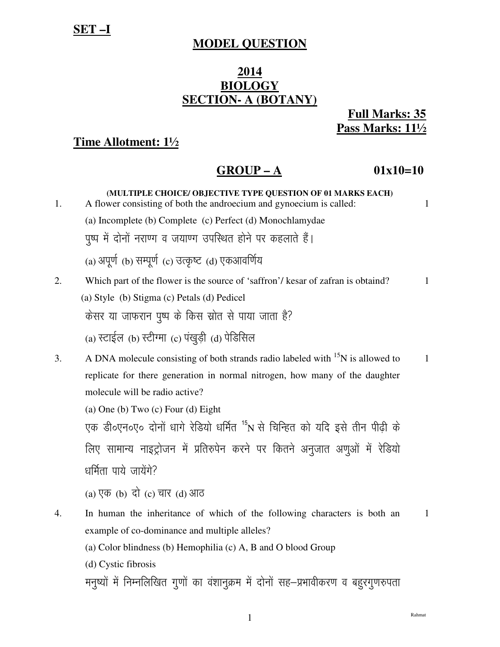# **MODEL QUESTION**

## 2014 **BIOLOGY SECTION- A (BOTANY)**

**Full Marks: 35** Pass Marks: 111/2

# Time Allotment: 11/2

#### $01x10=10$  $GROUP - A$

| 1. | (MULTIPLE CHOICE/ OBJECTIVE TYPE QUESTION OF 01 MARKS EACH)<br>A flower consisting of both the androecium and gynoecium is called:<br>(a) Incomplete (b) Complete (c) Perfect (d) Monochlamydae | $\mathbf{1}$ |
|----|-------------------------------------------------------------------------------------------------------------------------------------------------------------------------------------------------|--------------|
|    | पुष्प में दोनों नराण्ग व जयाण्ग उपस्थित होने पर कहलाते हैं।                                                                                                                                     |              |
|    | (a) अपूर्ण (b) सम्पूर्ण (c) उत्कृष्ट (d) एकआवर्णिय                                                                                                                                              |              |
| 2. | Which part of the flower is the source of 'saffron'/ kesar of zafran is obtaind?                                                                                                                | $\mathbf{1}$ |
|    | (a) Style (b) Stigma (c) Petals (d) Pedicel                                                                                                                                                     |              |
|    | केसर या जाफरान पुष्प के किस स्रोत से पाया जाता है?                                                                                                                                              |              |
|    | (a) स्टाईल (b) स्टीग्मा (c) पंखुड़ी (d) पेडिसिल                                                                                                                                                 |              |
| 3. | A DNA molecule consisting of both strands radio labeled with <sup>15</sup> N is allowed to                                                                                                      | $\mathbf{1}$ |
|    | replicate for there generation in normal nitrogen, how many of the daughter                                                                                                                     |              |
|    | molecule will be radio active?                                                                                                                                                                  |              |
|    | (a) One (b) Two $(c)$ Four $(d)$ Eight                                                                                                                                                          |              |
|    | एक डी०एन०ए० दोनों धागे रेडियो धर्मित <sup>15</sup> N से चिन्हित को यदि इसे तीन पीढ़ी के                                                                                                         |              |
|    | लिए सामान्य नाइट्रोजन में प्रतिरुपेन करने पर कितने अनुजात अणुओं में रेडियो                                                                                                                      |              |
|    | धर्मिता पाये जायेंगे?                                                                                                                                                                           |              |
|    | (a) एक (b) दो (c) चार (d) आठ                                                                                                                                                                    |              |
| 4. | In human the inheritance of which of the following characters is both an                                                                                                                        | $\mathbf{1}$ |
|    | example of co-dominance and multiple alleles?                                                                                                                                                   |              |
|    | (a) Color blindness (b) Hemophilia (c) A, B and O blood Group                                                                                                                                   |              |
|    | (d) Cystic fibrosis                                                                                                                                                                             |              |
|    | मनुष्यों में निम्नलिखित गुणों का वंशानुक्रम में दोनों सह–प्रभावीकरण व बहुरगुणरुपता                                                                                                              |              |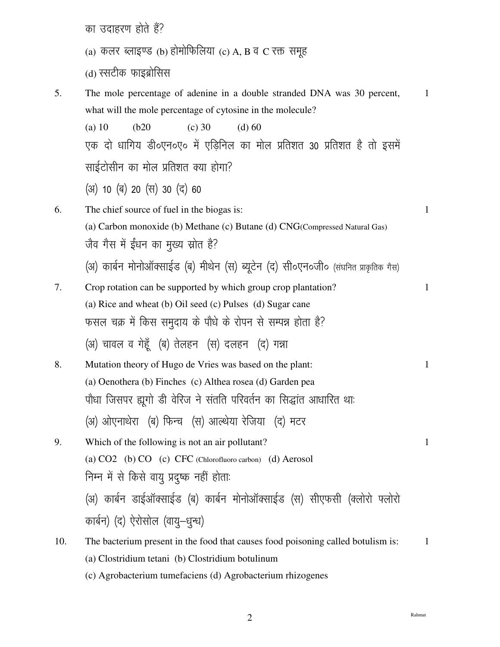का उदाहरण होते हैं?

- (a) कलर ब्लाइण्ड (b) होमोफिलिया (c) A, B व C रक्त समूह
- (d) स्सटीक फाइब्रोसिस
- 5. The mole percentage of adenine in a double stranded DNA was 30 percent,  $\mathbf{1}$ what will the mole percentage of cytosine in the molecule?  $(a)$  10  $(b20)$  $(c)$  30  $(d) 60$ एक दो धागिय डी०एन०ए० में एडिनिल का मोल प्रतिशत 30 प्रतिशत है तो इसमें साईटोसीन का मोल प्रतिशत क्या होगा? (अ) 10 (ब) 20 (स) 30 (द) 60 The chief source of fuel in the biogas is: 6.  $\mathbf{1}$ (a) Carbon monoxide (b) Methane (c) Butane (d) CNG(Compressed Natural Gas) जैव गैस में ईंधन का मुख्य स्रोत है? (अ) कार्बन मोनोऑक्साईड (ब) मीथेन (स) ब्यूटेन (द) सी०एन०जी० (संघनित प्राकृतिक गैस) 7. Crop rotation can be supported by which group crop plantation?  $\mathbf{1}$ (a) Rice and wheat (b) Oil seed (c) Pulses (d) Sugar cane फसल चक्र में किस समुदाय के पौधे के रोपन से सम्पन्न होता है? (अ) चावल व गेहूँ (ब) तेलहन (स) दलहन (द) गन्ना 8. Mutation theory of Hugo de Vries was based on the plant:  $\mathbf{1}$ (a) Oenothera (b) Finches (c) Althea rosea (d) Garden pea पौधा जिसपर ह्यूगो डी वेरिज ने संतति परिवर्तन का सिद्धांत आधारित थाः (अ) ओएनाथेरा (ब) फिन्च (स) आल्थेया रेजिया (द) मटर 9. Which of the following is not an air pollutant?  $\mathbf{1}$ (a) CO2 (b) CO (c) CFC (Chlorofluoro carbon) (d) Aerosol निम्न में से किसे वायु प्रदुष्क नहीं होताः (अ) कार्बन डाईऑक्साईड (ब) कार्बन मोनोऑक्साईड (स) सीएफसी (क्लोरो फ्लोरो कार्बन) (द) ऐरोसोल (वायु-धुन्ध) 10. The bacterium present in the food that causes food poisoning called botulism is:  $\mathbf{1}$ (a) Clostridium tetani (b) Clostridium botulinum
	- (c) Agrobacterium tumefaciens (d) Agrobacterium rhizogenes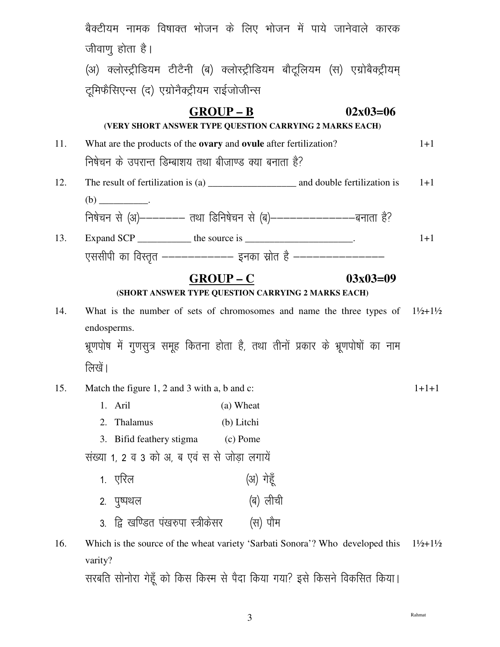|     | बैक्टीयम नामक विषाक्त भोजन के लिए भोजन में पाये जानेवाले कारक                                             |            |         |
|-----|-----------------------------------------------------------------------------------------------------------|------------|---------|
|     | जीवाणु होता है।                                                                                           |            |         |
|     | (अ) क्लोस्ट्रीडियम टीटैनी (ब) क्लोस्ट्रीडियम बौटूलियम (स) एग्रोबैक्ट्रीयम्                                |            |         |
|     | टूमिफैसिएन्स (द) एग्रोनैक्ट्रीयम राईजोजीन्स                                                               |            |         |
|     | $GROUP - B$                                                                                               | $02x03=06$ |         |
|     | (VERY SHORT ANSWER TYPE QUESTION CARRYING 2 MARKS EACH)                                                   |            |         |
| 11. | What are the products of the <b>ovary</b> and <b>ovule</b> after fertilization?                           |            |         |
|     | निषेचन के उपरान्त डिम्बाशय तथा बीजाण्ड क्या बनाता है?                                                     |            |         |
| 12. |                                                                                                           |            | $1+1$   |
|     |                                                                                                           |            |         |
|     | निषेचन से (अ)------- तथा डिनिषेचन से (ब)---------------बनाता है?                                          |            |         |
| 13. | Expand SCP _____________ the source is ________________________.                                          |            | $1+1$   |
|     | एससीपी का विस्तृत ------------ इनका स्रोत है ----------------                                             |            |         |
|     | $GROUP - C$                                                                                               | $03x03=09$ |         |
|     | (SHORT ANSWER TYPE QUESTION CARRYING 2 MARKS EACH)                                                        |            |         |
| 14. | What is the number of sets of chromosomes and name the three types of $1\frac{1}{2}+1\frac{1}{2}$         |            |         |
|     | endosperms.                                                                                               |            |         |
|     | भ्रूणपोष में गुणसुत्र समूह कितना होता है, तथा तीनों प्रकार के भ्रूणपोषों का नाम                           |            |         |
|     | लिखें।                                                                                                    |            |         |
| 15. | Match the figure 1, 2 and 3 with a, b and c:                                                              |            | $1+1+1$ |
|     | 1. Aril<br>(a) Wheat                                                                                      |            |         |
|     | 2. Thalamus<br>(b) Litchi                                                                                 |            |         |
|     | 3. Bifid feathery stigma<br>(c) Pome                                                                      |            |         |
|     | संख्या 1, 2 व 3 को अ, ब एवं स से जोड़ा लगायें                                                             |            |         |
|     | 1. एरिल                                                                                                   | (अ) गेहूँ  |         |
|     | २. पुष्पथल                                                                                                | (ब) लीची   |         |
|     | 3.  द्वि खण्डित पंखरुपा स्त्रीकेसर                                                                        | (स) पौम    |         |
| 16. | Which is the source of the wheat variety 'Sarbati Sonora'? Who developed this $1\frac{1}{2}+1\frac{1}{2}$ |            |         |
|     | varity?                                                                                                   |            |         |
|     | , सर्वात सोनोग गेहँ को किस किस्म से पैटा किया गया? इसे किसने विकसित किया।                                 |            |         |

सरबात सानारा गहूँ का किस किस्म से पदा किया गया? इस किसन विकसित किया।